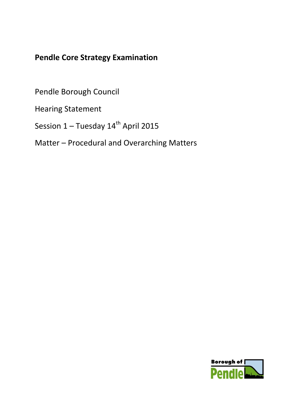## **Pendle Core Strategy Examination**

Pendle Borough Council

Hearing Statement

Session  $1 -$  Tuesday  $14<sup>th</sup>$  April 2015

Matter – Procedural and Overarching Matters

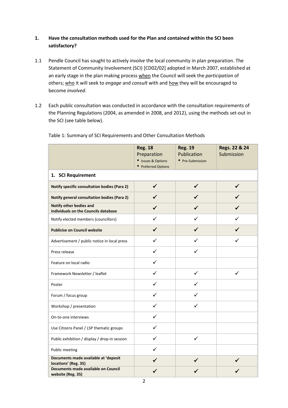## **1. Have the consultation methods used for the Plan and contained within the SCI been satisfactory?**

- 1.1 Pendle Council has sought to actively *involve* the local community in plan preparation. The Statement of Community Involvement (SCI) [CD02/02] adopted in March 2007, established at an early stage in the plan making process when the Council will seek the *participation* of others; who it will seek to *engage* and *consult* with and how they will be encouraged to become *involved*.
- 1.2 Each public consultation was conducted in accordance with the consultation requirements of the Planning Regulations (2004, as amended in 2008, and 2012), using the methods set-out in the SCI (see table below).

|                                                                 | <b>Reg. 18</b><br>Preparation<br>• Issues & Options | <b>Reg. 19</b><br>Publication<br>• Pre-Submission | Regs. 22 & 24<br>Submission |  |
|-----------------------------------------------------------------|-----------------------------------------------------|---------------------------------------------------|-----------------------------|--|
| • Preferred Options<br>1. SCI Requirement                       |                                                     |                                                   |                             |  |
| <b>Notify specific consultation bodies (Para 2)</b>             | ✓                                                   | ✓                                                 | ✓                           |  |
| Notify general consultation bodies (Para 2)                     |                                                     |                                                   |                             |  |
| Notify other bodies and<br>individuals on the Councils database |                                                     | ✓                                                 | ✓                           |  |
| Notify elected members (councillors)                            | ✓                                                   | ✓                                                 | ✓                           |  |
| <b>Publicise on Council website</b>                             | ✔                                                   | ✓                                                 | ✓                           |  |
| Advertisement / public notice in local press                    | ✓                                                   | ✓                                                 | ✓                           |  |
| Press release                                                   | ✓                                                   | ✓                                                 |                             |  |
| Feature on local radio                                          | $\checkmark$                                        |                                                   |                             |  |
| Framework Newsletter / leaflet                                  | ✓                                                   | ✓                                                 | ✓                           |  |
| Poster                                                          | ✓                                                   | ✓                                                 |                             |  |
| Forum / focus group                                             | ✓                                                   | ✓                                                 |                             |  |
| Workshop / presentation                                         | $\checkmark$                                        | $\checkmark$                                      |                             |  |
| On-to-one interviews                                            | ✓                                                   |                                                   |                             |  |
| Use Citizens Panel / LSP thematic groups                        | ✓                                                   |                                                   |                             |  |
| Public exhibition / display / drop-in session                   | ✓                                                   | $\checkmark$                                      |                             |  |
| Public meeting                                                  | $\checkmark$                                        |                                                   |                             |  |
| Documents made available at 'deposit<br>locations' (Reg. 35)    |                                                     |                                                   |                             |  |
| Documents made available on Council<br>website (Reg. 35)        |                                                     |                                                   |                             |  |

Table 1: Summary of SCI Requirements and Other Consultation Methods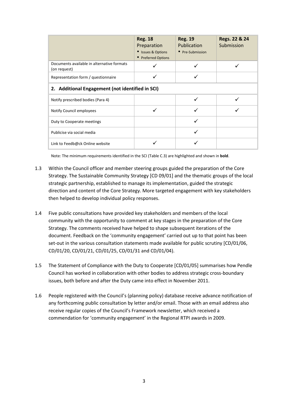|                                                            | <b>Reg. 18</b><br>Preparation<br>• Issues & Options<br>• Preferred Options | <b>Reg. 19</b><br>Publication<br>• Pre-Submission | Regs. 22 & 24<br>Submission |  |
|------------------------------------------------------------|----------------------------------------------------------------------------|---------------------------------------------------|-----------------------------|--|
| Documents available in alternative formats<br>(on request) |                                                                            |                                                   |                             |  |
| Representation form / questionnaire                        |                                                                            |                                                   |                             |  |
| 2. Additional Engagement (not identified in SCI)           |                                                                            |                                                   |                             |  |
| Notify prescribed bodies (Para 4)                          |                                                                            |                                                   |                             |  |
| Notify Council employees                                   |                                                                            |                                                   |                             |  |
| Duty to Cooperate meetings                                 |                                                                            |                                                   |                             |  |
| Publicise via social media                                 |                                                                            |                                                   |                             |  |
| Link to Feedb@ck Online website                            |                                                                            |                                                   |                             |  |

Note: The minimum requirements identified in the SCI (Table C.3) are highlighted and shown in **bold**.

- 1.3 Within the Council officer and member steering groups guided the preparation of the Core Strategy. The Sustainable Community Strategy [CD 09/01] and the thematic groups of the local strategic partnership, established to manage its implementation, guided the strategic direction and content of the Core Strategy. More targeted engagement with key stakeholders then helped to develop individual policy responses.
- 1.4 Five public consultations have provided key stakeholders and members of the local community with the opportunity to comment at key stages in the preparation of the Core Strategy. The comments received have helped to shape subsequent iterations of the document. Feedback on the 'community engagement' carried out up to that point has been set-out in the various consultation statements made available for public scrutiny [CD/01/06, CD/01/20, CD/01/21, CD/01/25, CD/01/31 and CD/01/04).
- 1.5 The Statement of Compliance with the Duty to Cooperate [CD/01/05] summarises how Pendle Council has worked in collaboration with other bodies to address strategic cross-boundary issues, both before and after the Duty came into effect in November 2011.
- 1.6 People registered with the Council's (planning policy) database receive advance notification of any forthcoming public consultation by letter and/or email. Those with an email address also receive regular copies of the Council's Framework newsletter, which received a commendation for 'community engagement' in the Regional RTPI awards in 2009.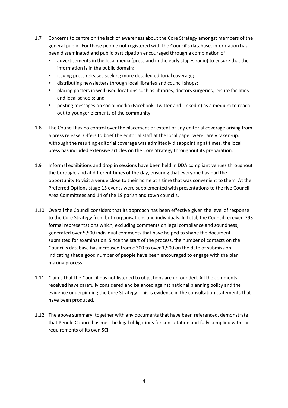- 1.7 Concerns to centre on the lack of awareness about the Core Strategy amongst members of the general public. For those people not registered with the Council's database, information has been disseminated and public participation encouraged through a combination of:
	- advertisements in the local media (press and in the early stages radio) to ensure that the information is in the public domain;
	- issuing press releases seeking more detailed editorial coverage;
	- distributing newsletters through local libraries and council shops;
	- placing posters in well used locations such as libraries, doctors surgeries, leisure facilities and local schools; and
	- posting messages on social media (Facebook, Twitter and LinkedIn) as a medium to reach out to younger elements of the community.
- 1.8 The Council has no control over the placement or extent of any editorial coverage arising from a press release. Offers to brief the editorial staff at the local paper were rarely taken-up. Although the resulting editorial coverage was admittedly disappointing at times, the local press has included extensive articles on the Core Strategy throughout its preparation.
- 1.9 Informal exhibitions and drop in sessions have been held in DDA compliant venues throughout the borough, and at different times of the day, ensuring that everyone has had the opportunity to visit a venue close to their home at a time that was convenient to them. At the Preferred Options stage 15 events were supplemented with presentations to the five Council Area Committees and 14 of the 19 parish and town councils.
- 1.10 Overall the Council considers that its approach has been effective given the level of response to the Core Strategy from both organisations and individuals. In total, the Council received 793 formal representations which, excluding comments on legal compliance and soundness, generated over 5,500 individual comments that have helped to shape the document submitted for examination. Since the start of the process, the number of contacts on the Council's database has increased from c.300 to over 1,500 on the date of submission, indicating that a good number of people have been encouraged to engage with the plan making process.
- 1.11 Claims that the Council has not listened to objections are unfounded. All the comments received have carefully considered and balanced against national planning policy and the evidence underpinning the Core Strategy. This is evidence in the consultation statements that have been produced.
- 1.12 The above summary, together with any documents that have been referenced, demonstrate that Pendle Council has met the legal obligations for consultation and fully complied with the requirements of its own SCI.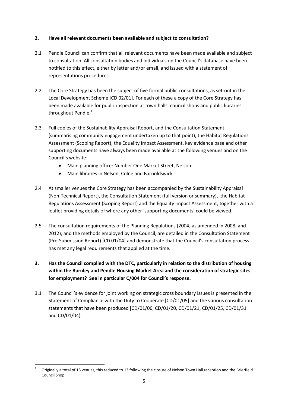## **2. Have all relevant documents been available and subject to consultation?**

- 2.1 Pendle Council can confirm that all relevant documents have been made available and subject to consultation. All consultation bodies and individuals on the Council's database have been notified to this effect, either by letter and/or email, and issued with a statement of representations procedures.
- 2.2 The Core Strategy has been the subject of five formal public consultations, as set-out in the Local Development Scheme [CD 02/01]. For each of these a copy of the Core Strategy has been made available for public inspection at town halls, council shops and public libraries throughout Pendle.<sup>1</sup>
- 2.3 Full copies of the Sustainability Appraisal Report, and the Consultation Statement (summarising community engagement undertaken up to that point), the Habitat Regulations Assessment (Scoping Report), the Equality Impact Assessment, key evidence base and other supporting documents have always been made available at the following venues and on the Council's website:
	- Main planning office: Number One Market Street, Nelson
	- Main libraries in Nelson, Colne and Barnoldswick
- 2.4 At smaller venues the Core Strategy has been accompanied by the Sustainability Appraisal (Non-Technical Report), the Consultation Statement (full version or summary), the Habitat Regulations Assessment (Scoping Report) and the Equality Impact Assessment, together with a leaflet providing details of where any other 'supporting documents' could be viewed.
- 2.5 The consultation requirements of the Planning Regulations (2004, as amended in 2008, and 2012), and the methods employed by the Council, are detailed in the Consultation Statement (Pre-Submission Report) [CD 01/04] and demonstrate that the Council's consultation process has met any legal requirements that applied at the time.
- **3. Has the Council complied with the DTC, particularly in relation to the distribution of housing within the Burnley and Pendle Housing Market Area and the consideration of strategic sites for employment? See in particular C/004 for Council's response.**
- 3.1 The Council's evidence for joint working on strategic cross boundary issues is presented in the Statement of Compliance with the Duty to Cooperate [CD/01/05] and the various consultation statements that have been produced [CD/01/06, CD/01/20, CD/01/21, CD/01/25, CD/01/31 and CD/01/04).

**<sup>.</sup>** 1 Originally a total of 15 venues, this reduced to 13 following the closure of Nelson Town Hall reception and the Brierfield Council Shop.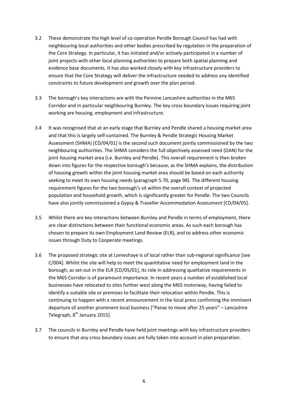- 3.2 These demonstrate the high level of co-operation Pendle Borough Council has had with neighbouring local authorities and other bodies prescribed by regulation in the preparation of the Core Strategy. In particular, it has initiated and/or actively participated in a number of joint projects with other local planning authorities to prepare both spatial planning and evidence base documents. It has also worked closely with key infrastructure providers to ensure that the Core Strategy will deliver the infrastructure needed to address any identified constraints to future development and growth over the plan period.
- 3.3 The borough's key interactions are with the Pennine Lancashire authorities in the M65 Corridor and in particular neighbouring Burnley. The key cross boundary issues requiring joint working are housing, employment and infrastructure.
- 3.4 It was recognised that at an early stage that Burnley and Pendle shared a housing market area and that this is largely self-contained. The Burnley & Pendle Strategic Housing Market Assessment (SHMA) [CD/04/01] is the second such document jointly commissioned by the two neighbouring authorities. The SHMA considers the full objectively assessed need (OAN) for the joint housing market area (i.e. Burnley and Pendle). This overall requirement is then broken down into figures for the respective borough's because, as the SHMA explains, the distribution of housing growth within the joint housing market area should be based on each authority seeking to meet its own housing needs (paragraph 5.70, page 98). The different housing requirement figures for the two borough's sit within the overall context of projected population and household growth, which is significantly greater for Pendle. The two Councils have also jointly commissioned a Gypsy & Traveller Accommodation Assessment [CD/04/05].
- 3.5 Whilst there are key interactions between Burnley and Pendle in terms of employment, there are clear distinctions between their functional economic areas. As such each borough has chosen to prepare its own Employment Land Review (ELR), and to address other economic issues through Duty to Cooperate meetings.
- 3.6 The proposed strategic site at Lomeshaye is of local rather than sub-regional significance [see C/004]. Whilst the site will help to meet the quantitative need for employment land in the borough, as set-out in the ELR [CD/05/01], its role in addressing qualitative requirements in the M65 Corridor is of paramount importance. In recent years a number of established local businesses have relocated to sites further west along the M65 motorway, having failed to identify a suitable site or premises to facilitate their relocation within Pendle. This is continuing to happen with a recent announcement in the local press confirming the imminent departure of another prominent local business ["Panaz to move after 25 years" – Lancashire Telegraph,  $8<sup>th</sup>$  January 2015].
- 3.7 The councils in Burnley and Pendle have held joint meetings with key infrastructure providers to ensure that any cross boundary issues are fully taken into account in plan preparation.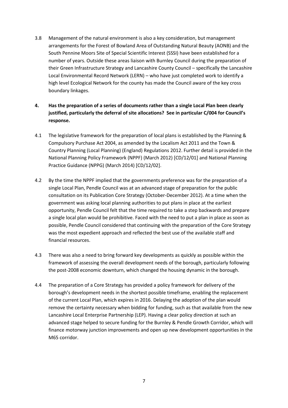- 3.8 Management of the natural environment is also a key consideration, but management arrangements for the Forest of Bowland Area of Outstanding Natural Beauty (AONB) and the South Pennine Moors Site of Special Scientific Interest (SSSI) have been established for a number of years. Outside these areas liaison with Burnley Council during the preparation of their Green Infrastructure Strategy and Lancashire County Council – specifically the Lancashire Local Environmental Record Network (LERN) – who have just completed work to identify a high level Ecological Network for the county has made the Council aware of the key cross boundary linkages.
- **4. Has the preparation of a series of documents rather than a single Local Plan been clearly justified, particularly the deferral of site allocations? See in particular C/004 for Council's response.**
- 4.1 The legislative framework for the preparation of local plans is established by the Planning & Compulsory Purchase Act 2004, as amended by the Localism Act 2011 and the Town & Country Planning (Local Planning) (England) Regulations 2012. Further detail is provided in the National Planning Policy Framework (NPPF) (March 2012) [CD/12/01] and National Planning Practice Guidance (NPPG) (March 2014) [CD/12/02].
- 4.2 By the time the NPPF implied that the governments preference was for the preparation of a single Local Plan, Pendle Council was at an advanced stage of preparation for the public consultation on its Publication Core Strategy (October-December 2012). At a time when the government was asking local planning authorities to put plans in place at the earliest opportunity, Pendle Council felt that the time required to take a step backwards and prepare a single local plan would be prohibitive. Faced with the need to put a plan in place as soon as possible, Pendle Council considered that continuing with the preparation of the Core Strategy was the most expedient approach and reflected the best use of the available staff and financial resources.
- 4.3 There was also a need to bring forward key developments as quickly as possible within the framework of assessing the overall development needs of the borough, particularly following the post-2008 economic downturn, which changed the housing dynamic in the borough.
- 4.4 The preparation of a Core Strategy has provided a policy framework for delivery of the borough's development needs in the shortest possible timeframe, enabling the replacement of the current Local Plan, which expires in 2016. Delaying the adoption of the plan would remove the certainty necessary when bidding for funding, such as that available from the new Lancashire Local Enterprise Partnership (LEP). Having a clear policy direction at such an advanced stage helped to secure funding for the Burnley & Pendle Growth Corridor, which will finance motorway junction improvements and open up new development opportunities in the M65 corridor.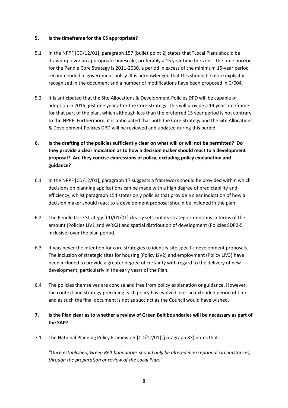## **5. Is the timeframe for the CS appropriate?**

- 5.1 In the NPPF [CD/12/01], paragraph 157 (bullet point 2) states that "Local Plans should be drawn-up over an appropriate timescale, preferably a 15 year time horizon". The time horizon for the Pendle Core Strategy is 2011-2030, a period in excess of the minimum 15-year period recommended in government policy. It is acknowledged that this should be more explicitly recognised in the document and a number of modifications have been proposed in C/004.
- 5.2 It is anticipated that the Site Allocations & Development Policies DPD will be capable of adoption in 2016, just one year after the Core Strategy. This will provide a 14 year timeframe for that part of the plan, which although less than the preferred 15 year period is not contrary to the NPPF. Furthermore, it is anticipated that both the Core Strategy and the Site Allocations & Development Policies DPD will be reviewed and updated during this period.
- **6. Is the drafting of the policies sufficiently clear on what will or will not be permitted? Do they provide a clear indication as to how a decision maker should react to a development proposal? Are they concise expressions of policy, excluding policy explanation and guidance?**
- 6.1 In the NPPF [CD/12/01], paragraph 17 suggests a framework should be provided within which decisions on planning applications can be made with a high degree of predictability and efficiency, whilst paragraph 154 states only policies that provide a clear indication of how a decision maker should react to a development proposal should be included in the plan.
- 6.2 The Pendle Core Strategy [CD/01/01] clearly sets-out its strategic intentions in terms of the amount (Policies LIV1 and WRK2) and spatial distribution of development (Policies SDP2-5 inclusive) over the plan period.
- 6.3 It was never the intention for core strategies to identify site specific development proposals. The inclusion of strategic sites for housing (Policy LIV2) and employment (Policy LIV3) have been included to provide a greater degree of certainty with regard to the delivery of new development, particularly in the early years of the Plan.
- 6.4 The policies themselves are concise and free from policy explanation or guidance. However, the context and strategy preceding each policy has evolved over an extended period of time and as such the final document is not as succinct as the Council would have wished.
- **7. Is the Plan clear as to whether a review of Green Belt boundaries will be necessary as part of the SAP?**
- 7.1 The National Planning Policy Framework [CD/12/01] (paragraph 83) notes that:

*"Once established, Green Belt boundaries should only be altered in exceptional circumstances, through the preparation or review of the Local Plan."*